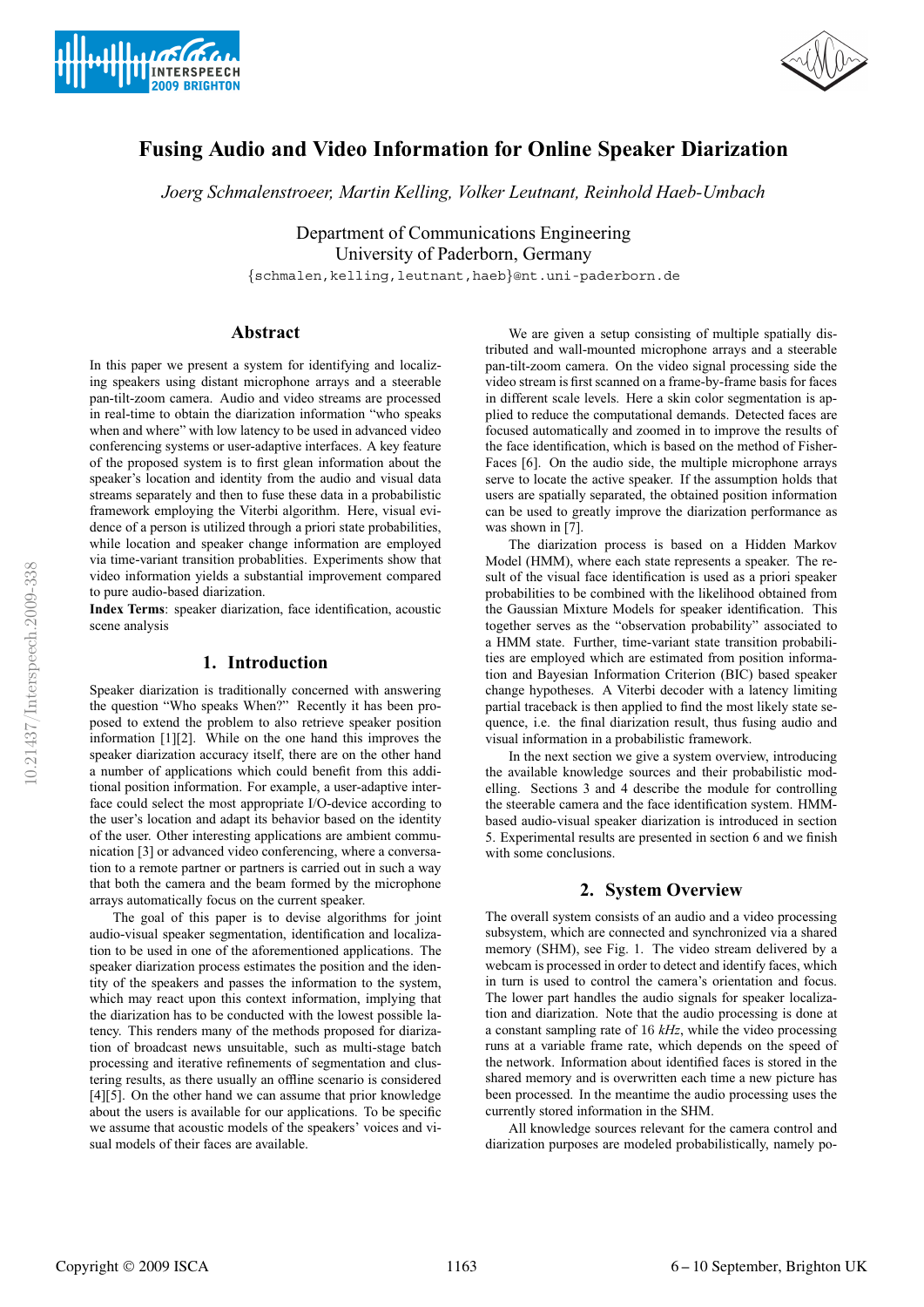



# **Fusing Audio and Video Information for Online Speaker Diarization**

*Joerg Schmalenstroeer, Martin Kelling, Volker Leutnant, Reinhold Haeb-Umbach*

Department of Communications Engineering University of Paderborn, Germany

{schmalen,kelling,leutnant,haeb}@nt.uni-paderborn.de

## **Abstract**

In this paper we present a system for identifying and localizing speakers using distant microphone arrays and a steerable pan-tilt-zoom camera. Audio and video streams are processed in real-time to obtain the diarization information "who speaks when and where" with low latency to be used in advanced video conferencing systems or user-adaptive interfaces. A key feature of the proposed system is to first glean information about the speaker's location and identity from the audio and visual data streams separately and then to fuse these data in a probabilistic framework employing the Viterbi algorithm. Here, visual evidence of a person is utilized through a priori state probabilities, while location and speaker change information are employed via time-variant transition probablities. Experiments show that video information yields a substantial improvement compared to pure audio-based diarization.

**Index Terms**: speaker diarization, face identification, acoustic scene analysis

### **1. Introduction**

Speaker diarization is traditionally concerned with answering the question "Who speaks When?" Recently it has been proposed to extend the problem to also retrieve speaker position information [1][2]. While on the one hand this improves the speaker diarization accuracy itself, there are on the other hand a number of applications which could benefit from this additional position information. For example, a user-adaptive interface could select the most appropriate I/O-device according to the user's location and adapt its behavior based on the identity of the user. Other interesting applications are ambient communication [3] or advanced video conferencing, where a conversation to a remote partner or partners is carried out in such a way that both the camera and the beam formed by the microphone arrays automatically focus on the current speaker.

The goal of this paper is to devise algorithms for joint audio-visual speaker segmentation, identification and localization to be used in one of the aforementioned applications. The speaker diarization process estimates the position and the identity of the speakers and passes the information to the system, which may react upon this context information, implying that the diarization has to be conducted with the lowest possible latency. This renders many of the methods proposed for diarization of broadcast news unsuitable, such as multi-stage batch processing and iterative refinements of segmentation and clustering results, as there usually an offline scenario is considered [4][5]. On the other hand we can assume that prior knowledge about the users is available for our applications. To be specific we assume that acoustic models of the speakers' voices and visual models of their faces are available.

We are given a setup consisting of multiple spatially distributed and wall-mounted microphone arrays and a steerable pan-tilt-zoom camera. On the video signal processing side the video stream is first scanned on a frame-by-frame basis for faces in different scale levels. Here a skin color segmentation is applied to reduce the computational demands. Detected faces are focused automatically and zoomed in to improve the results of the face identification, which is based on the method of Fisher-Faces [6]. On the audio side, the multiple microphone arrays serve to locate the active speaker. If the assumption holds that users are spatially separated, the obtained position information can be used to greatly improve the diarization performance as was shown in [7].

The diarization process is based on a Hidden Markov Model (HMM), where each state represents a speaker. The result of the visual face identification is used as a priori speaker probabilities to be combined with the likelihood obtained from the Gaussian Mixture Models for speaker identification. This together serves as the "observation probability" associated to a HMM state. Further, time-variant state transition probabilities are employed which are estimated from position information and Bayesian Information Criterion (BIC) based speaker change hypotheses. A Viterbi decoder with a latency limiting partial traceback is then applied to find the most likely state sequence, i.e. the final diarization result, thus fusing audio and visual information in a probabilistic framework.

In the next section we give a system overview, introducing the available knowledge sources and their probabilistic modelling. Sections 3 and 4 describe the module for controlling the steerable camera and the face identification system. HMMbased audio-visual speaker diarization is introduced in section 5. Experimental results are presented in section 6 and we finish with some conclusions.

# **2. System Overview**

The overall system consists of an audio and a video processing subsystem, which are connected and synchronized via a shared memory (SHM), see Fig. 1. The video stream delivered by a webcam is processed in order to detect and identify faces, which in turn is used to control the camera's orientation and focus. The lower part handles the audio signals for speaker localization and diarization. Note that the audio processing is done at a constant sampling rate of 16 *kHz*, while the video processing runs at a variable frame rate, which depends on the speed of the network. Information about identified faces is stored in the shared memory and is overwritten each time a new picture has been processed. In the meantime the audio processing uses the currently stored information in the SHM.

All knowledge sources relevant for the camera control and diarization purposes are modeled probabilistically, namely po-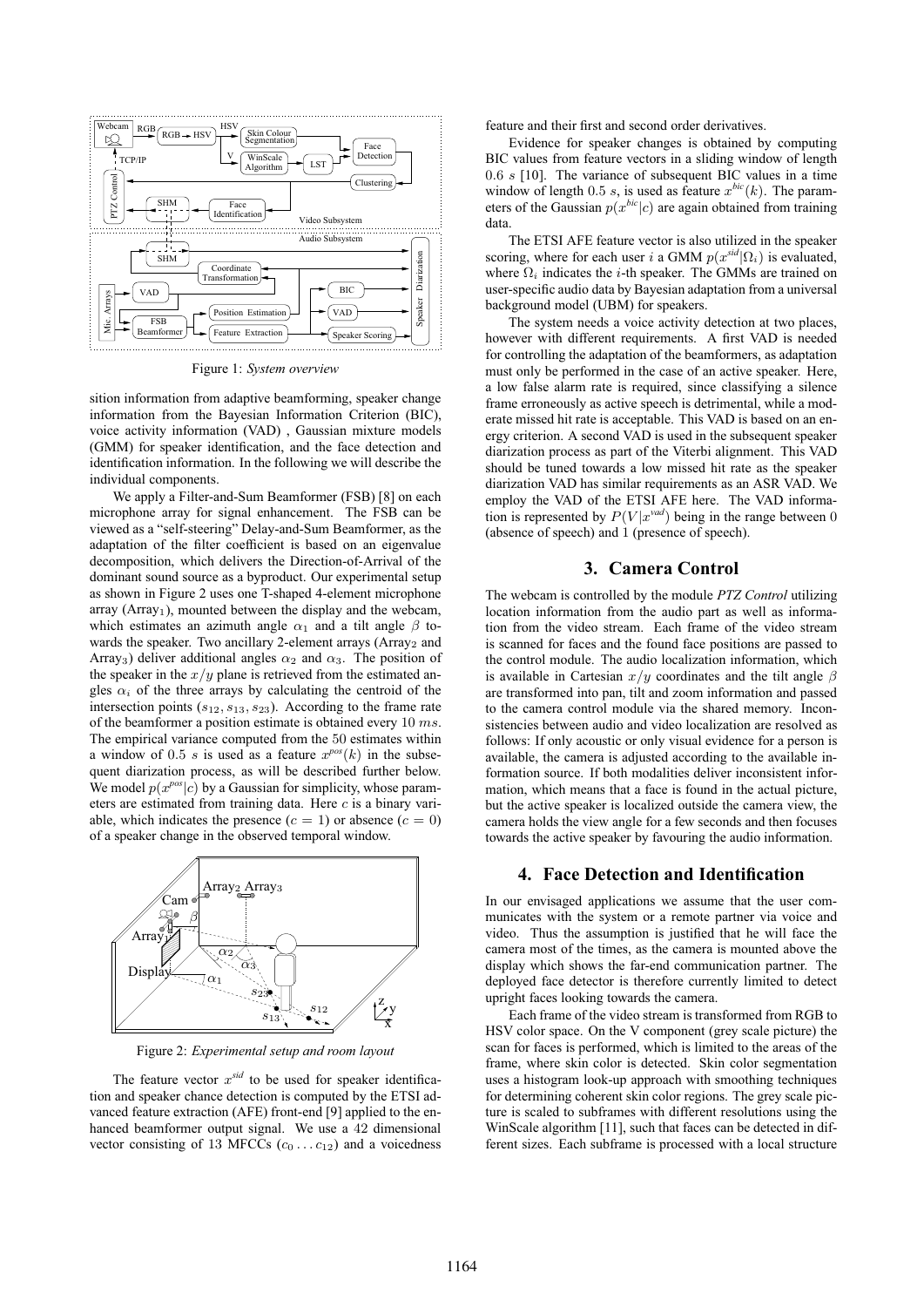

Figure 1: *System overview*

sition information from adaptive beamforming, speaker change information from the Bayesian Information Criterion (BIC), voice activity information (VAD) , Gaussian mixture models (GMM) for speaker identification, and the face detection and identification information. In the following we will describe the individual components.

We apply a Filter-and-Sum Beamformer (FSB) [8] on each microphone array for signal enhancement. The FSB can be viewed as a "self-steering" Delay-and-Sum Beamformer, as the adaptation of the filter coefficient is based on an eigenvalue decomposition, which delivers the Direction-of-Arrival of the dominant sound source as a byproduct. Our experimental setup as shown in Figure 2 uses one T-shaped 4-element microphone  $array (Array<sub>1</sub>)$ , mounted between the display and the webcam, which estimates an azimuth angle  $\alpha_1$  and a tilt angle  $\beta$  towards the speaker. Two ancillary 2-element arrays (Array<sub>2</sub> and Array<sub>3</sub>) deliver additional angles  $\alpha_2$  and  $\alpha_3$ . The position of the speaker in the  $x/y$  plane is retrieved from the estimated angles  $\alpha_i$  of the three arrays by calculating the centroid of the intersection points  $(s_{12}, s_{13}, s_{23})$ . According to the frame rate of the beamformer a position estimate is obtained every  $10$  ms. The empirical variance computed from the 50 estimates within a window of 0.5 s is used as a feature  $x^{pos}(k)$  in the subsequent diarization process, as will be described further below. We model  $p(x^{pos}|c)$  by a Gaussian for simplicity, whose parameters are estimated from training data. Here  $c$  is a binary variable, which indicates the presence  $(c = 1)$  or absence  $(c = 0)$ of a speaker change in the observed temporal window.



Figure 2: *Experimental setup and room layout*

The feature vector  $x<sup>sid</sup>$  to be used for speaker identification and speaker chance detection is computed by the ETSI advanced feature extraction (AFE) front-end [9] applied to the enhanced beamformer output signal. We use a 42 dimensional vector consisting of 13 MFCCs  $(c_0 \ldots c_{12})$  and a voicedness

feature and their first and second order derivatives.

Evidence for speaker changes is obtained by computing BIC values from feature vectors in a sliding window of length 0.6 s [10]. The variance of subsequent BIC values in a time window of length 0.5 s, is used as feature  $x^{bic}(k)$ . The parameters of the Gaussian  $p(x^{bic}|c)$  are again obtained from training data.

The ETSI AFE feature vector is also utilized in the speaker scoring, where for each user i a GMM  $p(x^{sid}|\Omega_i)$  is evaluated, where  $\Omega_i$  indicates the *i*-th speaker. The GMMs are trained on user-specific audio data by Bayesian adaptation from a universal background model (UBM) for speakers.

The system needs a voice activity detection at two places, however with different requirements. A first VAD is needed for controlling the adaptation of the beamformers, as adaptation must only be performed in the case of an active speaker. Here, a low false alarm rate is required, since classifying a silence frame erroneously as active speech is detrimental, while a moderate missed hit rate is acceptable. This VAD is based on an energy criterion. A second VAD is used in the subsequent speaker diarization process as part of the Viterbi alignment. This VAD should be tuned towards a low missed hit rate as the speaker diarization VAD has similar requirements as an ASR VAD. We employ the VAD of the ETSI AFE here. The VAD information is represented by  $P(V|x^{vad})$  being in the range between 0 (absence of speech) and 1 (presence of speech).

# **3. Camera Control**

The webcam is controlled by the module *PTZ Control* utilizing location information from the audio part as well as information from the video stream. Each frame of the video stream is scanned for faces and the found face positions are passed to the control module. The audio localization information, which is available in Cartesian  $x/y$  coordinates and the tilt angle  $\beta$ are transformed into pan, tilt and zoom information and passed to the camera control module via the shared memory. Inconsistencies between audio and video localization are resolved as follows: If only acoustic or only visual evidence for a person is available, the camera is adjusted according to the available information source. If both modalities deliver inconsistent information, which means that a face is found in the actual picture, but the active speaker is localized outside the camera view, the camera holds the view angle for a few seconds and then focuses towards the active speaker by favouring the audio information.

#### **4. Face Detection and Identification**

In our envisaged applications we assume that the user communicates with the system or a remote partner via voice and video. Thus the assumption is justified that he will face the camera most of the times, as the camera is mounted above the display which shows the far-end communication partner. The deployed face detector is therefore currently limited to detect upright faces looking towards the camera.

Each frame of the video stream is transformed from RGB to HSV color space. On the V component (grey scale picture) the scan for faces is performed, which is limited to the areas of the frame, where skin color is detected. Skin color segmentation uses a histogram look-up approach with smoothing techniques for determining coherent skin color regions. The grey scale picture is scaled to subframes with different resolutions using the WinScale algorithm [11], such that faces can be detected in different sizes. Each subframe is processed with a local structure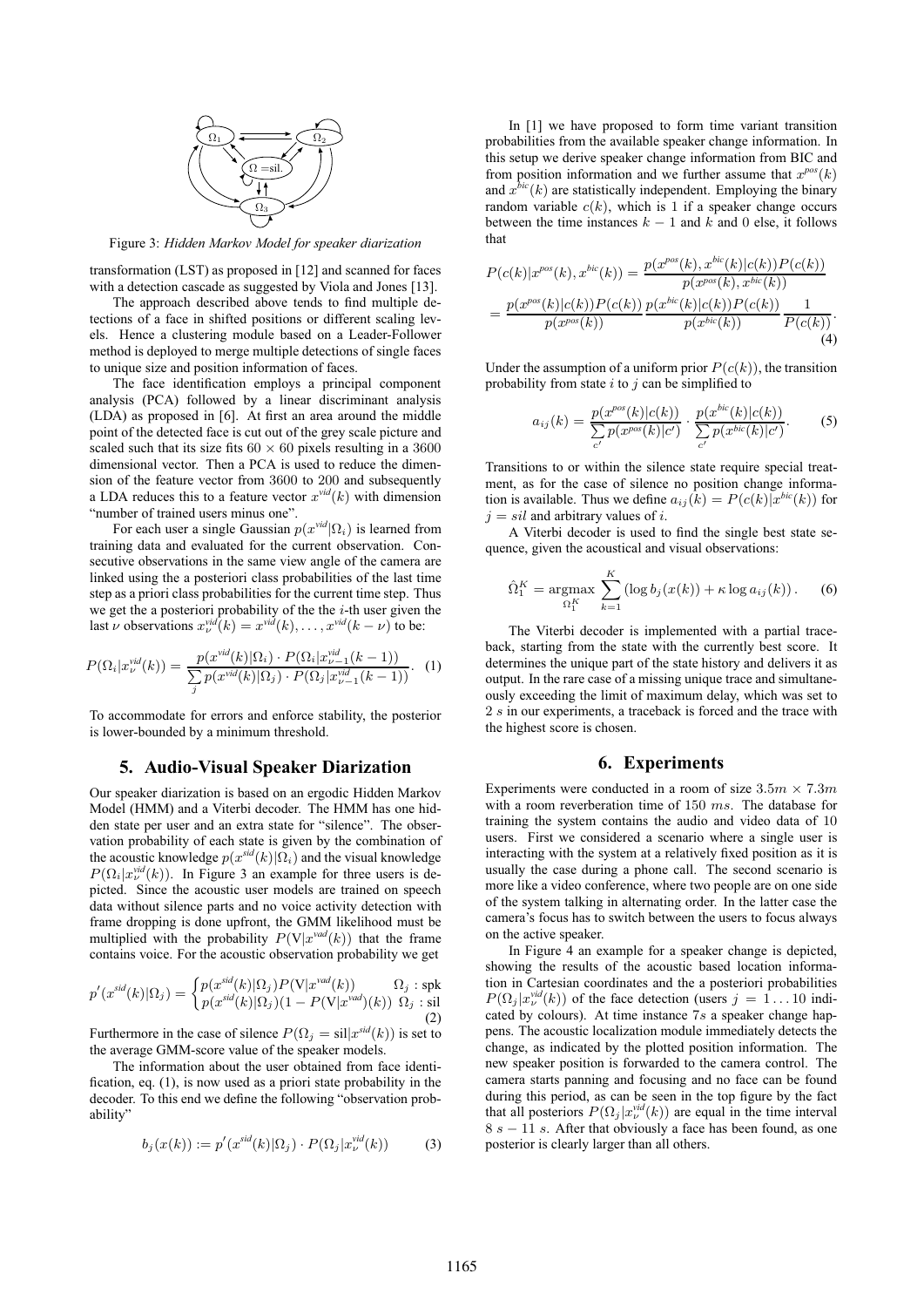

Figure 3: *Hidden Markov Model for speaker diarization*

transformation (LST) as proposed in [12] and scanned for faces with a detection cascade as suggested by Viola and Jones [13].

The approach described above tends to find multiple detections of a face in shifted positions or different scaling levels. Hence a clustering module based on a Leader-Follower method is deployed to merge multiple detections of single faces to unique size and position information of faces.

The face identification employs a principal component analysis (PCA) followed by a linear discriminant analysis (LDA) as proposed in [6]. At first an area around the middle point of the detected face is cut out of the grey scale picture and scaled such that its size fits  $60 \times 60$  pixels resulting in a 3600 dimensional vector. Then a PCA is used to reduce the dimension of the feature vector from 3600 to 200 and subsequently a LDA reduces this to a feature vector  $x^{vid}(k)$  with dimension "number of trained users minus one".

For each user a single Gaussian  $p(x^{vid}|\Omega_i)$  is learned from training data and evaluated for the current observation. Consecutive observations in the same view angle of the camera are linked using the a posteriori class probabilities of the last time step as a priori class probabilities for the current time step. Thus we get the a posteriori probability of the the  $i$ -th user given the last  $\nu$  observations  $x_{\nu}^{vid}(k) = x^{vid}(k), \ldots, x^{vid}(k - \nu)$  to be:

$$
P(\Omega_i|x_\nu^{vid}(k)) = \frac{p(x^{vid}(k)|\Omega_i) \cdot P(\Omega_i|x_{\nu-1}^{vid}(k-1))}{\sum_j p(x^{vid}(k)|\Omega_j) \cdot P(\Omega_j|x_{\nu-1}^{vid}(k-1))}.
$$
 (1)

To accommodate for errors and enforce stability, the posterior is lower-bounded by a minimum threshold.

#### **5. Audio-Visual Speaker Diarization**

Our speaker diarization is based on an ergodic Hidden Markov Model (HMM) and a Viterbi decoder. The HMM has one hidden state per user and an extra state for "silence". The observation probability of each state is given by the combination of the acoustic knowledge  $p(x^{sid}(k)|\Omega_i)$  and the visual knowledge  $P(\Omega_i|x_{\nu}^{\text{vid}}(k))$ . In Figure 3 an example for three users is depicted. Since the acoustic user models are trained on speech data without silence parts and no voice activity detection with frame dropping is done upfront, the GMM likelihood must be multiplied with the probability  $P(V|x^{vad}(k))$  that the frame contains voice. For the acoustic observation probability we get

$$
p'(x^{sid}(k)|\Omega_j) = \begin{cases} p(x^{sid}(k)|\Omega_j) P(\mathbf{V}|x^{vad}(k)) & \Omega_j: \text{spk} \\ p(x^{sid}(k)|\Omega_j) (1 - P(\mathbf{V}|x^{vad})(k)) & \Omega_j: \text{sil} \\ (2) & \Omega_j \end{cases}
$$

Furthermore in the case of silence  $P(\Omega_i = \text{sil}|x^{\text{sid}}(k))$  is set to the average GMM-score value of the speaker models.

The information about the user obtained from face identification, eq. (1), is now used as a priori state probability in the decoder. To this end we define the following "observation probability"

$$
b_j(x(k)) := p'(x^{sid}(k)|\Omega_j) \cdot P(\Omega_j|x^{vid}_{\nu}(k))
$$
 (3)

In [1] we have proposed to form time variant transition probabilities from the available speaker change information. In this setup we derive speaker change information from BIC and from position information and we further assume that  $x^{pos}(k)$ and  $x^{bic}(k)$  are statistically independent. Employing the binary random variable  $c(k)$ , which is 1 if a speaker change occurs between the time instances  $k - 1$  and k and 0 else, it follows that

$$
P(c(k)|x^{pos}(k), x^{bic}(k)) = \frac{p(x^{pos}(k), x^{bic}(k)|c(k))P(c(k))}{p(x^{pos}(k), x^{bic}(k))}
$$
  
= 
$$
\frac{p(x^{pos}(k)|c(k))P(c(k))}{p(x^{pos}(k))} \frac{p(x^{bic}(k)|c(k))P(c(k))}{p(x^{bic}(k))} \frac{1}{P(c(k))}.
$$
  
(4)

Under the assumption of a uniform prior  $P(c(k))$ , the transition probability from state  $i$  to  $j$  can be simplified to

$$
a_{ij}(k) = \frac{p(x^{pos}(k)|c(k))}{\sum_{c'} p(x^{pos}(k)|c')} \cdot \frac{p(x^{bic}(k)|c(k))}{\sum_{c'} p(x^{bic}(k)|c')}.
$$
 (5)

Transitions to or within the silence state require special treatment, as for the case of silence no position change information is available. Thus we define  $a_{ij}(k) = P(c(k)|x^{bic}(k))$  for  $j = sil$  and arbitrary values of i.

A Viterbi decoder is used to find the single best state sequence, given the acoustical and visual observations:

$$
\hat{\Omega}_1^K = \underset{\Omega_1^K}{\text{argmax}} \sum_{k=1}^K \left( \log b_j(x(k)) + \kappa \log a_{ij}(k) \right). \tag{6}
$$

The Viterbi decoder is implemented with a partial traceback, starting from the state with the currently best score. It determines the unique part of the state history and delivers it as output. In the rare case of a missing unique trace and simultaneously exceeding the limit of maximum delay, which was set to 2 s in our experiments, a traceback is forced and the trace with the highest score is chosen.

### **6. Experiments**

Experiments were conducted in a room of size  $3.5m \times 7.3m$ with a room reverberation time of 150 ms. The database for training the system contains the audio and video data of 10 users. First we considered a scenario where a single user is interacting with the system at a relatively fixed position as it is usually the case during a phone call. The second scenario is more like a video conference, where two people are on one side of the system talking in alternating order. In the latter case the camera's focus has to switch between the users to focus always on the active speaker.

In Figure 4 an example for a speaker change is depicted, showing the results of the acoustic based location information in Cartesian coordinates and the a posteriori probabilities  $P(\Omega_j | x_\nu^{vid}(k))$  of the face detection (users  $j = 1...10$  indicated by colours). At time instance 7s a speaker change happens. The acoustic localization module immediately detects the change, as indicated by the plotted position information. The new speaker position is forwarded to the camera control. The camera starts panning and focusing and no face can be found during this period, as can be seen in the top figure by the fact that all posteriors  $P(\Omega_j | x_{\nu}^{vid}(k))$  are equal in the time interval  $8 s - 11 s$ . After that obviously a face has been found, as one posterior is clearly larger than all others.